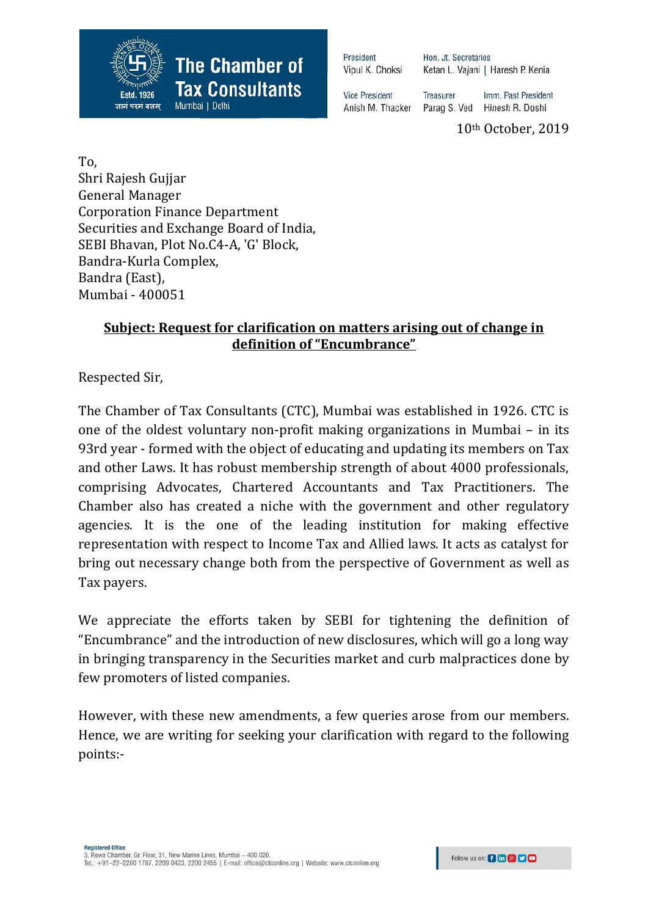

Hon. Jt. Secretaries Ketan L. Vajani | Haresh P. Kenia

**Vice President** Anish M. Thacker

Treasurer Imm. Past President Parag S. Ved Hinesh R. Doshi

10th October, 2019

To, Shri Rajesh Gujjar General Manager Corporation Finance Department Securities and Exchange Board of India, SEBI Bhavan, Plot No.C4-A, 'G' Block, Bandra-Kurla Complex, Bandra (East), Mumbai - 400051

### **Subject: Request for clarification on matters arising out of change in definition of "Encumbrance"**

Respected Sir,

The Chamber of Tax Consultants (CTC), Mumbai was established in 1926. CTC is one of the oldest voluntary non-profit making organizations in Mumbai – in its 93rd year - formed with the object of educating and updating its members on Tax and other Laws. It has robust membership strength of about 4000 professionals, comprising Advocates, Chartered Accountants and Tax Practitioners. The Chamber also has created a niche with the government and other regulatory agencies. It is the one of the leading institution for making effective representation with respect to Income Tax and Allied laws. It acts as catalyst for bring out necessary change both from the perspective of Government as well as Tax payers.

We appreciate the efforts taken by SEBI for tightening the definition of "Encumbrance" and the introduction of new disclosures, which will go a long way in bringing transparency in the Securities market and curb malpractices done by few promoters of listed companies.

However, with these new amendments, a few queries arose from our members. Hence, we are writing for seeking your clarification with regard to the following points:-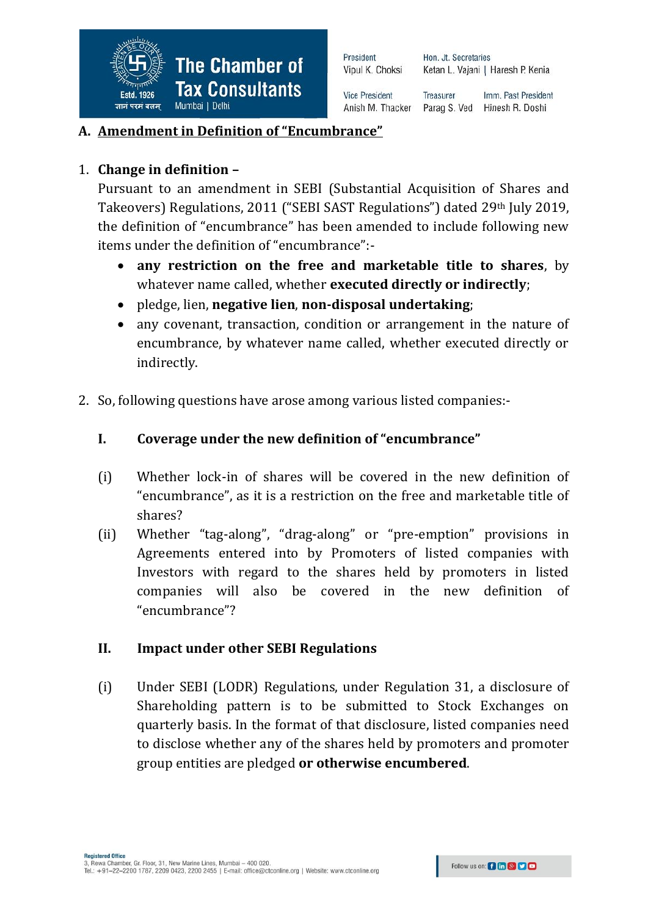

Hon. Jt. Secretaries Ketan L. Vajani | Haresh P. Kenia

**Vice President** Anish M. Thacker

**Treasurer** Imm. Past President Parag S. Ved Hinesh R. Doshi

## **A. Amendment in Definition of "Encumbrance"**

## 1. **Change in definition –**

Pursuant to an amendment in SEBI (Substantial Acquisition of Shares and Takeovers) Regulations, 2011 ("SEBI SAST Regulations") dated 29th July 2019, the definition of "encumbrance" has been amended to include following new items under the definition of "encumbrance":-

- **any restriction on the free and marketable title to shares**, by whatever name called, whether **executed directly or indirectly**;
- pledge, lien, **negative lien**, **non-disposal undertaking**;
- any covenant, transaction, condition or arrangement in the nature of encumbrance, by whatever name called, whether executed directly or indirectly.
- 2. So, following questions have arose among various listed companies:-

#### **I. Coverage under the new definition of "encumbrance"**

- (i) Whether lock-in of shares will be covered in the new definition of "encumbrance", as it is a restriction on the free and marketable title of shares?
- (ii) Whether "tag-along", "drag-along" or "pre-emption" provisions in Agreements entered into by Promoters of listed companies with Investors with regard to the shares held by promoters in listed companies will also be covered in the new definition of "encumbrance"?

#### **II. Impact under other SEBI Regulations**

(i) Under SEBI (LODR) Regulations, under Regulation 31, a disclosure of Shareholding pattern is to be submitted to Stock Exchanges on quarterly basis. In the format of that disclosure, listed companies need to disclose whether any of the shares held by promoters and promoter group entities are pledged **or otherwise encumbered**.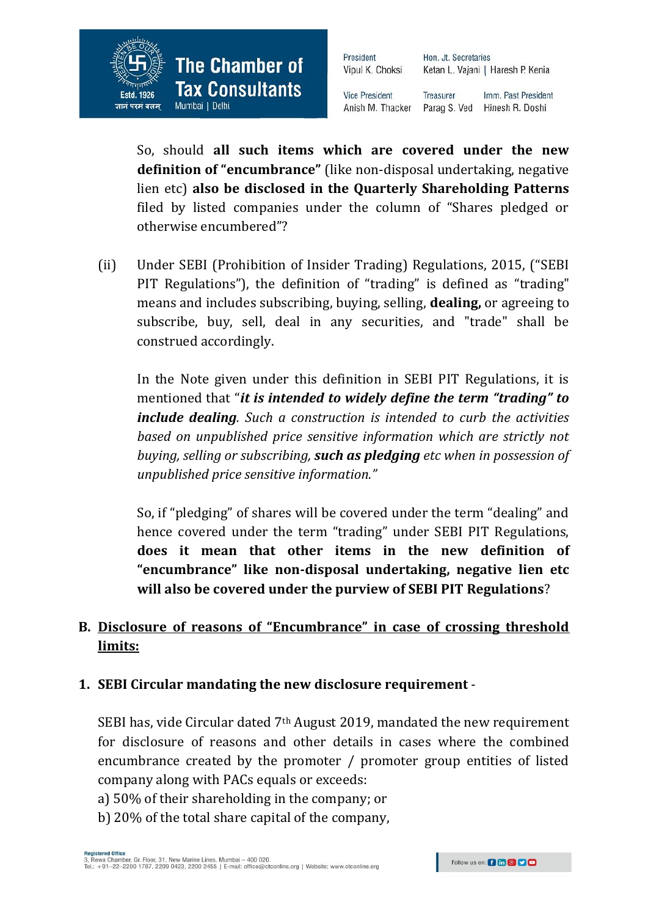

Hon. Jt. Secretaries Ketan L. Vajani | Haresh P. Kenia

**Vice President** Anish M. Thacker

**Treasurer** Imm. Past President Parag S. Ved Hinesh R. Doshi

So, should **all such items which are covered under the new definition of "encumbrance"** (like non-disposal undertaking, negative lien etc) **also be disclosed in the Quarterly Shareholding Patterns** filed by listed companies under the column of "Shares pledged or otherwise encumbered"?

(ii) Under SEBI (Prohibition of Insider Trading) Regulations, 2015, ("SEBI PIT Regulations"), the definition of "trading" is defined as "trading" means and includes subscribing, buying, selling, **dealing,** or agreeing to subscribe, buy, sell, deal in any securities, and "trade" shall be construed accordingly.

In the Note given under this definition in SEBI PIT Regulations, it is mentioned that "*it is intended to widely define the term "trading" to include dealing. Such a construction is intended to curb the activities based on unpublished price sensitive information which are strictly not buying, selling or subscribing, such as pledging etc when in possession of unpublished price sensitive information."*

So, if "pledging" of shares will be covered under the term "dealing" and hence covered under the term "trading" under SEBI PIT Regulations, **does it mean that other items in the new definition of "encumbrance" like non-disposal undertaking, negative lien etc will also be covered under the purview of SEBI PIT Regulations**?

## **B. Disclosure of reasons of "Encumbrance" in case of crossing threshold limits:**

#### **1. SEBI Circular mandating the new disclosure requirement** -

SEBI has, vide Circular dated 7th August 2019, mandated the new requirement for disclosure of reasons and other details in cases where the combined encumbrance created by the promoter / promoter group entities of listed company along with PACs equals or exceeds:

- a) 50% of their shareholding in the company; or
- b) 20% of the total share capital of the company,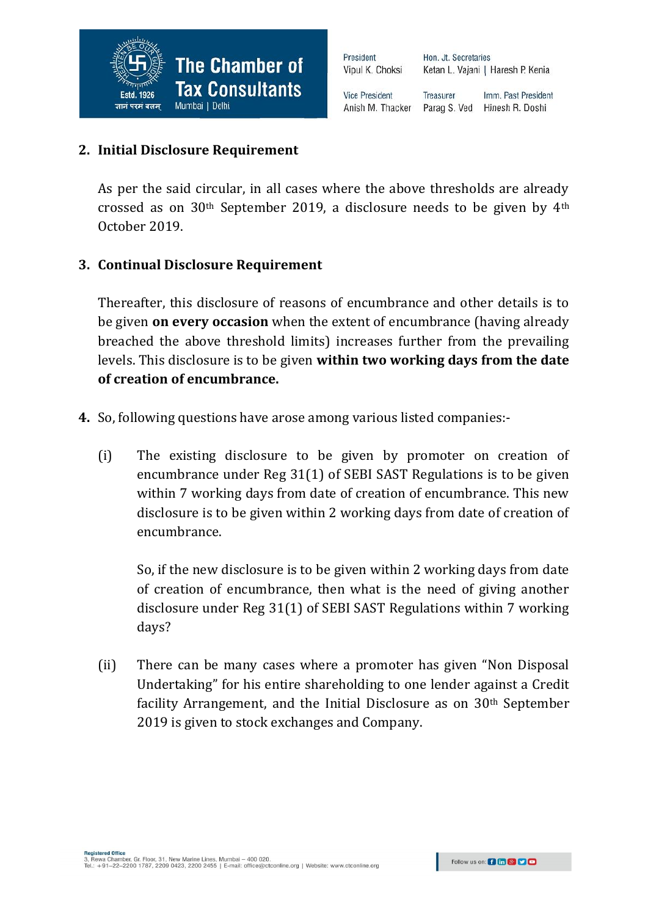Hon. Jt. Secretaries Ketan L. Vajani | Haresh P. Kenia

**Vice President** Anish M. Thacker

Treasurer Imm. Past President Parag S. Ved Hinesh R. Doshi

## **2. Initial Disclosure Requirement**

As per the said circular, in all cases where the above thresholds are already crossed as on  $30<sup>th</sup>$  September 2019, a disclosure needs to be given by  $4<sup>th</sup>$ October 2019.

## **3. Continual Disclosure Requirement**

Thereafter, this disclosure of reasons of encumbrance and other details is to be given **on every occasion** when the extent of encumbrance (having already breached the above threshold limits) increases further from the prevailing levels. This disclosure is to be given **within two working days from the date of creation of encumbrance.**

- **4.** So, following questions have arose among various listed companies:-
	- (i) The existing disclosure to be given by promoter on creation of encumbrance under Reg 31(1) of SEBI SAST Regulations is to be given within 7 working days from date of creation of encumbrance. This new disclosure is to be given within 2 working days from date of creation of encumbrance.

So, if the new disclosure is to be given within 2 working days from date of creation of encumbrance, then what is the need of giving another disclosure under Reg 31(1) of SEBI SAST Regulations within 7 working days?

(ii) There can be many cases where a promoter has given "Non Disposal Undertaking" for his entire shareholding to one lender against a Credit facility Arrangement, and the Initial Disclosure as on 30th September 2019 is given to stock exchanges and Company.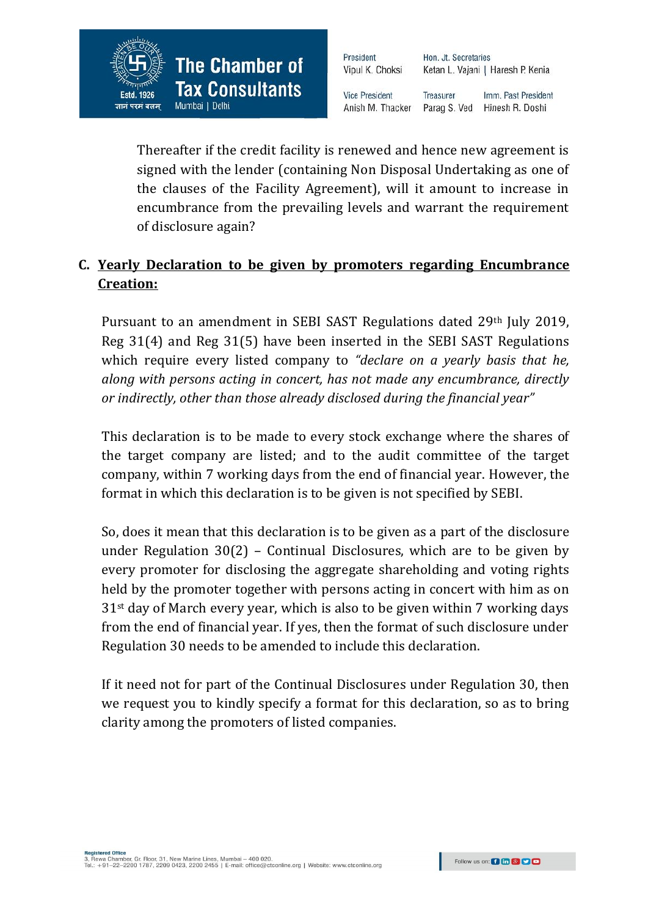

Hon. Jt. Secretaries Ketan L. Vajani | Haresh P. Kenia

**Vice President** Anish M. Thacker

Treasurer Imm. Past President Parag S. Ved Hinesh R. Doshi

Thereafter if the credit facility is renewed and hence new agreement is signed with the lender (containing Non Disposal Undertaking as one of the clauses of the Facility Agreement), will it amount to increase in encumbrance from the prevailing levels and warrant the requirement of disclosure again?

# **C. Yearly Declaration to be given by promoters regarding Encumbrance Creation:**

Pursuant to an amendment in SEBI SAST Regulations dated 29th July 2019, Reg 31(4) and Reg 31(5) have been inserted in the SEBI SAST Regulations which require every listed company to *"declare on a yearly basis that he, along with persons acting in concert, has not made any encumbrance, directly or indirectly, other than those already disclosed during the financial year"*

This declaration is to be made to every stock exchange where the shares of the target company are listed; and to the audit committee of the target company, within 7 working days from the end of financial year. However, the format in which this declaration is to be given is not specified by SEBI.

So, does it mean that this declaration is to be given as a part of the disclosure under Regulation 30(2) – Continual Disclosures, which are to be given by every promoter for disclosing the aggregate shareholding and voting rights held by the promoter together with persons acting in concert with him as on 31st day of March every year, which is also to be given within 7 working days from the end of financial year. If yes, then the format of such disclosure under Regulation 30 needs to be amended to include this declaration.

If it need not for part of the Continual Disclosures under Regulation 30, then we request you to kindly specify a format for this declaration, so as to bring clarity among the promoters of listed companies.